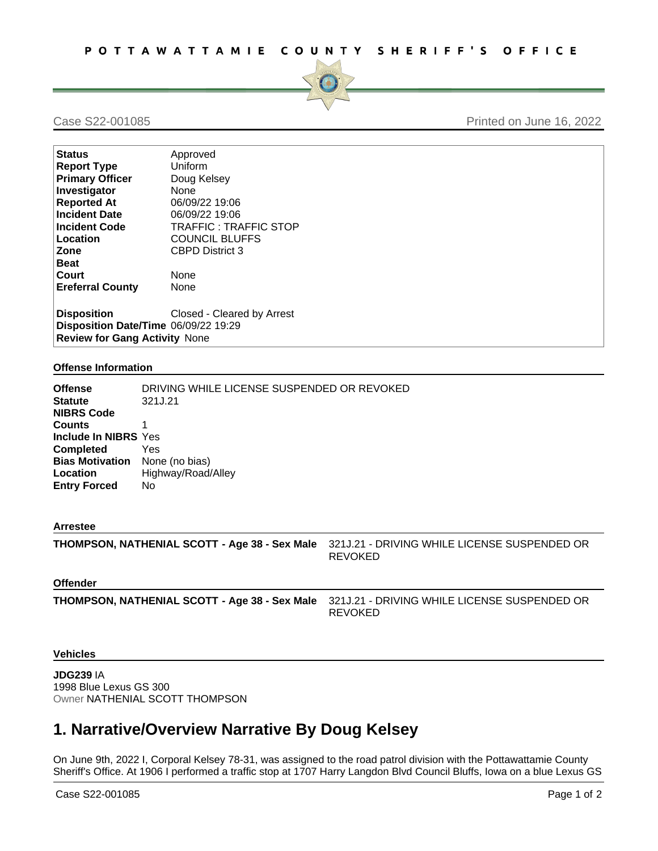

## Case S22-001085 Printed on June 16, 2022

| <b>Status</b>                        | Approved                     |
|--------------------------------------|------------------------------|
| <b>Report Type</b>                   | Uniform                      |
| <b>Primary Officer</b>               | Doug Kelsey                  |
| Investigator                         | <b>None</b>                  |
| <b>Reported At</b>                   | 06/09/22 19:06               |
| <b>Incident Date</b>                 | 06/09/22 19:06               |
| <b>Incident Code</b>                 | <b>TRAFFIC: TRAFFIC STOP</b> |
| Location                             | <b>COUNCIL BLUFFS</b>        |
| Zone                                 | <b>CBPD District 3</b>       |
| <b>Beat</b>                          |                              |
| Court                                | <b>None</b>                  |
| <b>Ereferral County</b>              | None                         |
|                                      |                              |
| <b>Disposition</b>                   | Closed - Cleared by Arrest   |
| Disposition Date/Time 06/09/22 19:29 |                              |
| <b>Review for Gang Activity None</b> |                              |

#### **Offense Information**

| <b>Offense</b><br><b>Statute</b><br><b>NIBRS Code</b>                                                                                 | DRIVING WHILE LICENSE SUSPENDED OR REVOKED<br>321J.21 |
|---------------------------------------------------------------------------------------------------------------------------------------|-------------------------------------------------------|
| <b>Counts</b><br>Include In NIBRS Yes<br><b>Completed</b><br><b>Bias Motivation</b> None (no bias)<br>Location<br><b>Entry Forced</b> | Yes<br>Highway/Road/Alley<br>No                       |

#### **Arrestee**

**THOMPSON, NATHENIAL SCOTT - Age 38 - Sex Male** 321J.21 - DRIVING WHILE LICENSE SUSPENDED OR REVOKED

### **Offender**

**THOMPSON, NATHENIAL SCOTT - Age 38 - Sex Male** 321J.21 - DRIVING WHILE LICENSE SUSPENDED OR REVOKED

# **Vehicles**

**JDG239** IA 1998 Blue Lexus GS 300 Owner NATHENIAL SCOTT THOMPSON

# **1. Narrative/Overview Narrative By Doug Kelsey**

On June 9th, 2022 I, Corporal Kelsey 78-31, was assigned to the road patrol division with the Pottawattamie County Sheriff's Office. At 1906 I performed a traffic stop at 1707 Harry Langdon Blvd Council Bluffs, Iowa on a blue Lexus GS